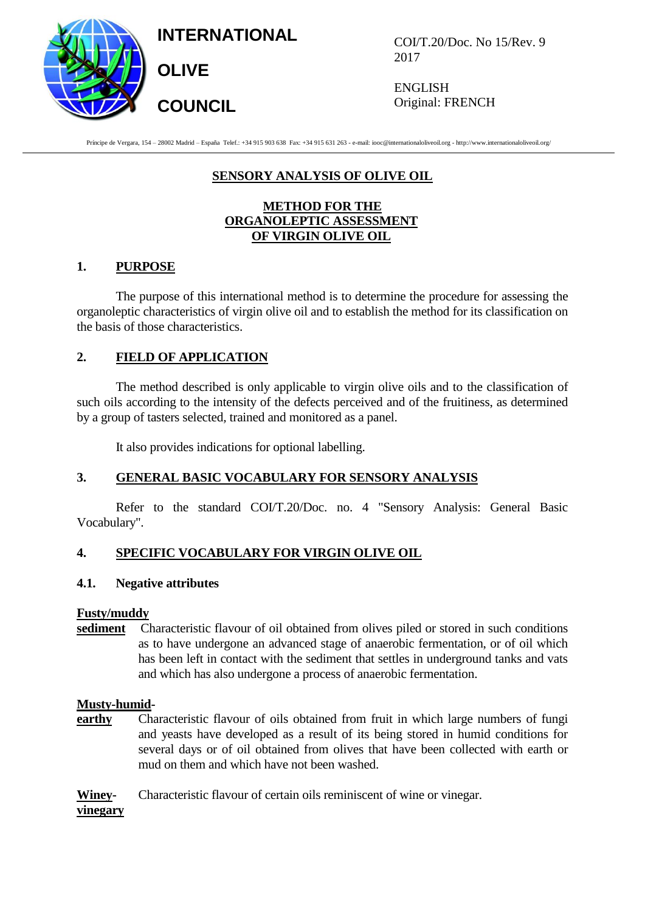**INTERNATIONAL**

**OLIVE** 

**COUNCIL**



COI/T.20/Doc. No 15/Rev. 9 2017

ENGLISH Original: FRENCH

Príncipe de Vergara, 154 – 28002 Madrid – España Telef.: +34 915 903 638 Fax: +34 915 631 263 - e-mail: iooc@internationaloliveoil.org - http://www.internationaloliveoil.org/

## **SENSORY ANALYSIS OF OLIVE OIL**

## **METHOD FOR THE ORGANOLEPTIC ASSESSMENT OF VIRGIN OLIVE OIL**

## **1. PURPOSE**

The purpose of this international method is to determine the procedure for assessing the organoleptic characteristics of virgin olive oil and to establish the method for its classification on the basis of those characteristics.

## **2. FIELD OF APPLICATION**

The method described is only applicable to virgin olive oils and to the classification of such oils according to the intensity of the defects perceived and of the fruitiness, as determined by a group of tasters selected*,* trained and monitored as a panel.

It also provides indications for optional labelling.

## **3. GENERAL BASIC VOCABULARY FOR SENSORY ANALYSIS**

Refer to the standard COI/T.20/Doc. no. 4 "Sensory Analysis: General Basic Vocabulary".

## **4. SPECIFIC VOCABULARY FOR VIRGIN OLIVE OIL**

## **4.1. Negative attributes**

## **Fusty/muddy**

**sediment** Characteristic flavour of oil obtained from olives piled or stored in such conditions as to have undergone an advanced stage of anaerobic fermentation, or of oil which has been left in contact with the sediment that settles in underground tanks and vats and which has also undergone a process of anaerobic fermentation.

## **Musty-humid-**

**earthy** Characteristic flavour of oils obtained from fruit in which large numbers of fungi and yeasts have developed as a result of its being stored in humid conditions for several days or of oil obtained from olives that have been collected with earth or mud on them and which have not been washed.

**Winey-** Characteristic flavour of certain oils reminiscent of wine or vinegar.

## **vinegary**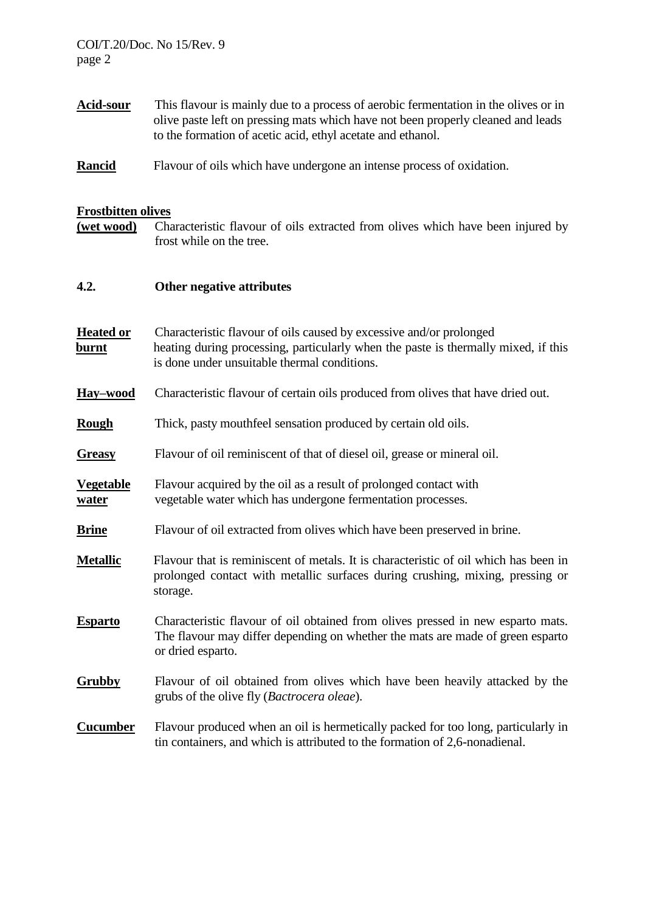| <b>Acid-sour</b>                 | This flavour is mainly due to a process of aerobic fermentation in the olives or in<br>olive paste left on pressing mats which have not been properly cleaned and leads<br>to the formation of acetic acid, ethyl acetate and ethanol. |  |  |  |
|----------------------------------|----------------------------------------------------------------------------------------------------------------------------------------------------------------------------------------------------------------------------------------|--|--|--|
| Rancid                           | Flavour of oils which have undergone an intense process of oxidation.                                                                                                                                                                  |  |  |  |
| <b>Frostbitten olives</b>        |                                                                                                                                                                                                                                        |  |  |  |
| <u>(wet wood)</u>                | Characteristic flavour of oils extracted from olives which have been injured by<br>frost while on the tree.                                                                                                                            |  |  |  |
| 4.2.                             | Other negative attributes                                                                                                                                                                                                              |  |  |  |
| <b>Heated or</b><br><u>burnt</u> | Characteristic flavour of oils caused by excessive and/or prolonged<br>heating during processing, particularly when the paste is thermally mixed, if this<br>is done under unsuitable thermal conditions.                              |  |  |  |
| Hay-wood                         | Characteristic flavour of certain oils produced from olives that have dried out.                                                                                                                                                       |  |  |  |
| Rough                            | Thick, pasty mouthfeel sensation produced by certain old oils.                                                                                                                                                                         |  |  |  |
| <b>Greasy</b>                    | Flavour of oil reminiscent of that of diesel oil, grease or mineral oil.                                                                                                                                                               |  |  |  |
| <b>Vegetable</b><br><u>water</u> | Flavour acquired by the oil as a result of prolonged contact with<br>vegetable water which has undergone fermentation processes.                                                                                                       |  |  |  |
| <b>Brine</b>                     | Flavour of oil extracted from olives which have been preserved in brine.                                                                                                                                                               |  |  |  |
| <b>Metallic</b>                  | Flavour that is reminiscent of metals. It is characteristic of oil which has been in<br>prolonged contact with metallic surfaces during crushing, mixing, pressing or<br>storage.                                                      |  |  |  |
| <b>Esparto</b>                   | Characteristic flavour of oil obtained from olives pressed in new esparto mats.<br>The flavour may differ depending on whether the mats are made of green esparto<br>or dried esparto.                                                 |  |  |  |
| <b>Grubby</b>                    | Flavour of oil obtained from olives which have been heavily attacked by the<br>grubs of the olive fly (Bactrocera oleae).                                                                                                              |  |  |  |
| <b>Cucumber</b>                  | Flavour produced when an oil is hermetically packed for too long, particularly in<br>tin containers, and which is attributed to the formation of 2,6-nonadienal.                                                                       |  |  |  |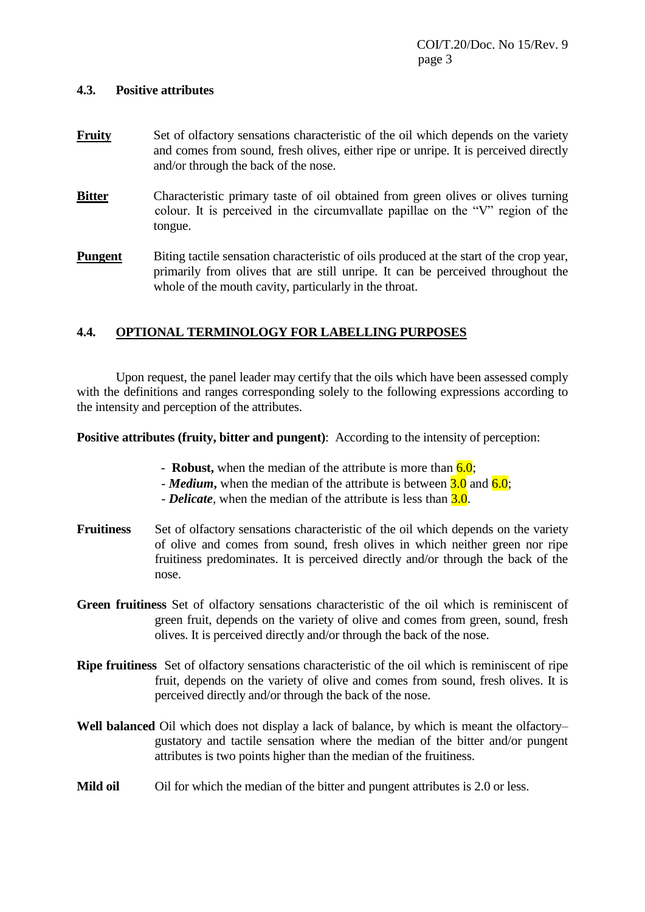## **4.3. Positive attributes**

- **Fruity** Set of olfactory sensations characteristic of the oil which depends on the variety and comes from sound, fresh olives, either ripe or unripe. It is perceived directly and/or through the back of the nose.
- **Bitter** Characteristic primary taste of oil obtained from green olives or olives turning colour. It is perceived in the circumvallate papillae on the "V" region of the tongue.
- **Pungent** Biting tactile sensation characteristic of oils produced at the start of the crop year, primarily from olives that are still unripe. It can be perceived throughout the whole of the mouth cavity, particularly in the throat.

## **4.4. OPTIONAL TERMINOLOGY FOR LABELLING PURPOSES**

Upon request, the panel leader may certify that the oils which have been assessed comply with the definitions and ranges corresponding solely to the following expressions according to the intensity and perception of the attributes.

**Positive attributes (fruity, bitter and pungent):** According to the intensity of perception:

- **Robust,** when the median of the attribute is more than **6.0**;
- *Medium*, when the median of the attribute is between **3.0** and **6.0**;
- *Delicate*, when the median of the attribute is less than 3.0.
- **Fruitiness** Set of olfactory sensations characteristic of the oil which depends on the variety of olive and comes from sound, fresh olives in which neither green nor ripe fruitiness predominates. It is perceived directly and/or through the back of the nose.
- **Green fruitiness** Set of olfactory sensations characteristic of the oil which is reminiscent of green fruit, depends on the variety of olive and comes from green, sound, fresh olives. It is perceived directly and/or through the back of the nose.
- **Ripe fruitiness** Set of olfactory sensations characteristic of the oil which is reminiscent of ripe fruit, depends on the variety of olive and comes from sound, fresh olives. It is perceived directly and/or through the back of the nose.
- **Well balanced** Oil which does not display a lack of balance, by which is meant the olfactory– gustatory and tactile sensation where the median of the bitter and/or pungent attributes is two points higher than the median of the fruitiness.
- **Mild oil** Oil for which the median of the bitter and pungent attributes is 2.0 or less.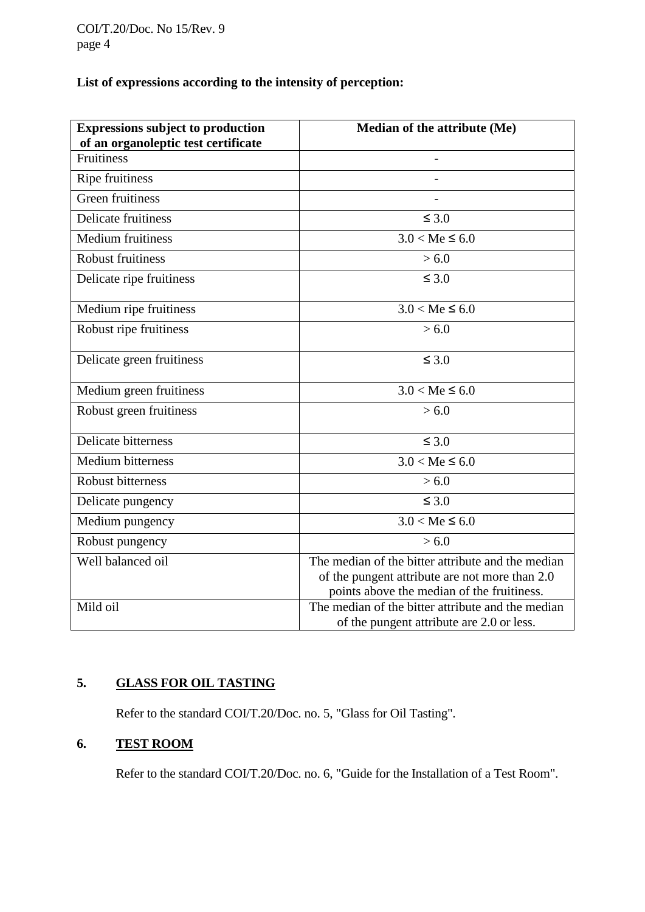# **List of expressions according to the intensity of perception:**

| <b>Expressions subject to production</b><br>of an organoleptic test certificate | Median of the attribute (Me)                      |
|---------------------------------------------------------------------------------|---------------------------------------------------|
| <b>Fruitiness</b>                                                               |                                                   |
| Ripe fruitiness                                                                 |                                                   |
| Green fruitiness                                                                |                                                   |
| <b>Delicate fruitiness</b>                                                      | $\leq 3.0$                                        |
| <b>Medium fruitiness</b>                                                        | $3.0 < Me \le 6.0$                                |
| <b>Robust fruitiness</b>                                                        | > 6.0                                             |
| Delicate ripe fruitiness                                                        | $\leq 3.0$                                        |
| Medium ripe fruitiness                                                          | $3.0 < Me \leq 6.0$                               |
| Robust ripe fruitiness                                                          | > 6.0                                             |
| Delicate green fruitiness                                                       | $\leq 3.0$                                        |
| Medium green fruitiness                                                         | $3.0 < Me \leq 6.0$                               |
| Robust green fruitiness                                                         | > 6.0                                             |
| <b>Delicate bitterness</b>                                                      | $\leq 3.0$                                        |
| <b>Medium bitterness</b>                                                        | $3.0 < Me \leq 6.0$                               |
| <b>Robust bitterness</b>                                                        | > 6.0                                             |
| Delicate pungency                                                               | $\leq 3.0$                                        |
| Medium pungency                                                                 | $3.0 < Me \leq 6.0$                               |
| Robust pungency                                                                 | > 6.0                                             |
| Well balanced oil                                                               | The median of the bitter attribute and the median |
|                                                                                 | of the pungent attribute are not more than 2.0    |
|                                                                                 | points above the median of the fruitiness.        |
| Mild oil                                                                        | The median of the bitter attribute and the median |
|                                                                                 | of the pungent attribute are 2.0 or less.         |

# **5. GLASS FOR OIL TASTING**

Refer to the standard COI/T.20/Doc. no. 5, "Glass for Oil Tasting".

# **6. TEST ROOM**

Refer to the standard COI/T.20/Doc. no. 6, "Guide for the Installation of a Test Room".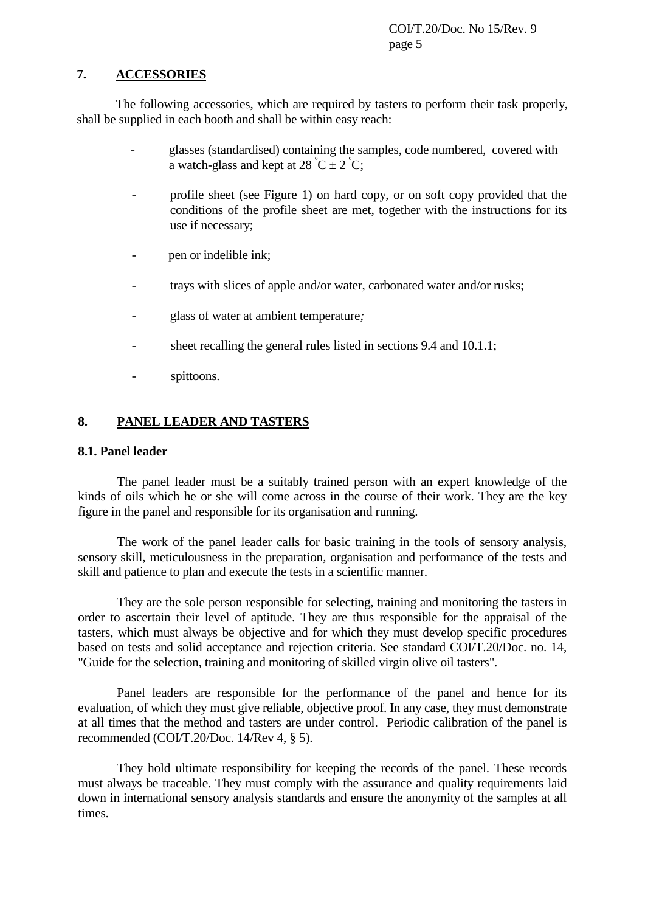## **7. ACCESSORIES**

The following accessories, which are required by tasters to perform their task properly, shall be supplied in each booth and shall be within easy reach:

- glasses (standardised) containing the samples, code numbered, covered with a watch-glass and kept at  $28^{\circ}C \pm 2^{\circ}C$ ;
- profile sheet (see Figure 1) on hard copy, or on soft copy provided that the conditions of the profile sheet are met, together with the instructions for its use if necessary;
- pen or indelible ink;
- trays with slices of apple and/or water, carbonated water and/or rusks;
- glass of water at ambient temperature*;*
- sheet recalling the general rules listed in sections 9.4 and 10.1.1;
- spittoons.

## **8. PANEL LEADER AND TASTERS**

## **8.1. Panel leader**

The panel leader must be a suitably trained person with an expert knowledge of the kinds of oils which he or she will come across in the course of their work. They are the key figure in the panel and responsible for its organisation and running.

The work of the panel leader calls for basic training in the tools of sensory analysis, sensory skill, meticulousness in the preparation*,* organisation and performance of the tests and skill and patience to plan and execute the tests in a scientific manner.

They are the sole person responsible for selecting, training and monitoring the tasters in order to ascertain their level of aptitude. They are thus responsible for the appraisal of the tasters, which must always be objective and for which they must develop specific procedures based on tests and solid acceptance and rejection criteria. See standard COI/T.20/Doc. no. 14, "Guide for the selection, training and monitoring of skilled virgin olive oil tasters".

Panel leaders are responsible for the performance of the panel and hence for its evaluation, of which they must give reliable, objective proof. In any case, they must demonstrate at all times that the method and tasters are under control. Periodic calibration of the panel is recommended (COI/T.20/Doc. 14/Rev 4, § 5).

They hold ultimate responsibility for keeping the records of the panel. These records must always be traceable. They must comply with the assurance and quality requirements laid down in international sensory analysis standards and ensure the anonymity of the samples at all times.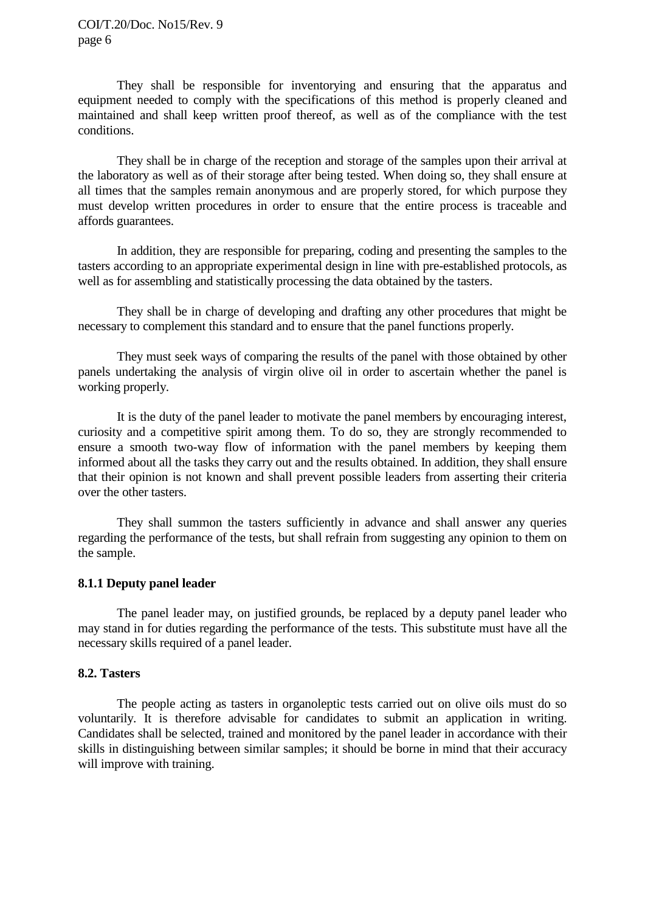They shall be responsible for inventorying and ensuring that the apparatus and equipment needed to comply with the specifications of this method is properly cleaned and maintained and shall keep written proof thereof, as well as of the compliance with the test conditions.

They shall be in charge of the reception and storage of the samples upon their arrival at the laboratory as well as of their storage after being tested. When doing so, they shall ensure at all times that the samples remain anonymous and are properly stored, for which purpose they must develop written procedures in order to ensure that the entire process is traceable and affords guarantees.

In addition, they are responsible for preparing, coding and presenting the samples to the tasters according to an appropriate experimental design in line with pre-established protocols, as well as for assembling and statistically processing the data obtained by the tasters.

They shall be in charge of developing and drafting any other procedures that might be necessary to complement this standard and to ensure that the panel functions properly.

They must seek ways of comparing the results of the panel with those obtained by other panels undertaking the analysis of virgin olive oil in order to ascertain whether the panel is working properly.

It is the duty of the panel leader to motivate the panel members by encouraging interest, curiosity and a competitive spirit among them. To do so, they are strongly recommended to ensure a smooth two-way flow of information with the panel members by keeping them informed about all the tasks they carry out and the results obtained. In addition, they shall ensure that their opinion is not known and shall prevent possible leaders from asserting their criteria over the other tasters.

They shall summon the tasters sufficiently in advance and shall answer any queries regarding the performance of the tests, but shall refrain from suggesting any opinion to them on the sample.

## **8.1.1 Deputy panel leader**

The panel leader may, on justified grounds, be replaced by a deputy panel leader who may stand in for duties regarding the performance of the tests. This substitute must have all the necessary skills required of a panel leader.

## **8.2. Tasters**

The people acting as tasters in organoleptic tests carried out on olive oils must do so voluntarily. It is therefore advisable for candidates to submit an application in writing. Candidates shall be selected*,* trained and monitored by the panel leader in accordance with their skills in distinguishing between similar samples; it should be borne in mind that their accuracy will improve with training.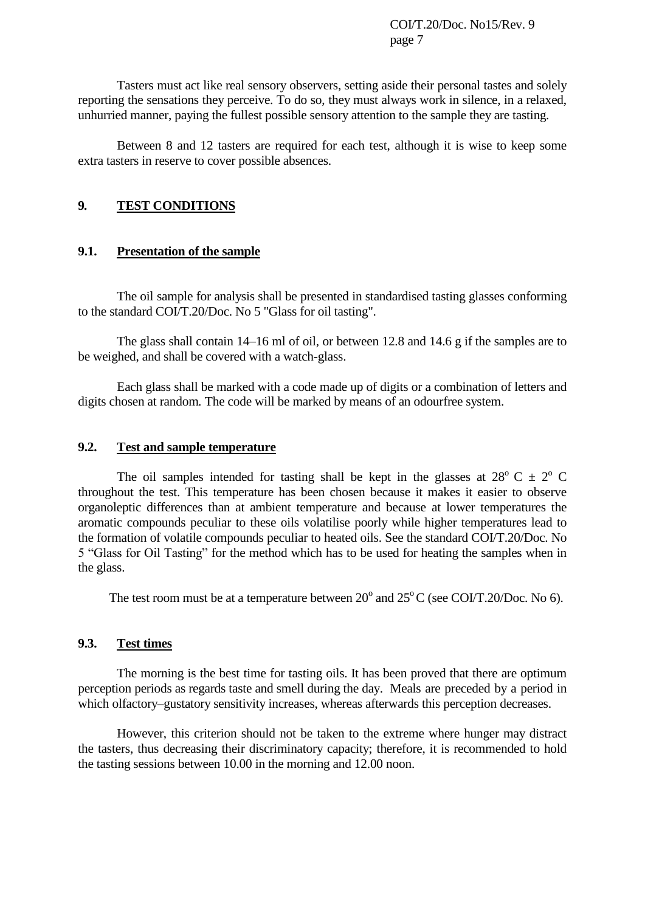Tasters must act like real sensory observers, setting aside their personal tastes and solely reporting the sensations they perceive. To do so, they must always work in silence, in a relaxed, unhurried manner, paying the fullest possible sensory attention to the sample they are tasting*.* 

Between 8 and 12 tasters are required for each test, although it is wise to keep some extra tasters in reserve to cover possible absences.

## **9***.* **TEST CONDITIONS**

### **9.1. Presentation of the sample**

The oil sample for analysis shall be presented in standardised tasting glasses conforming to the standard COI/T.20/Doc. No 5 "Glass for oil tasting".

The glass shall contain 14–16 ml of oil, or between 12.8 and 14.6 g if the samples are to be weighed, and shall be covered with a watch-glass.

Each glass shall be marked with a code made up of digits or a combination of letters and digits chosen at random*.* The code will be marked by means of an odourfree system.

#### **9.2. Test and sample temperature**

The oil samples intended for tasting shall be kept in the glasses at  $28^{\circ}$  C  $\pm 2^{\circ}$  C throughout the test. This temperature has been chosen because it makes it easier to observe organoleptic differences than at ambient temperature and because at lower temperatures the aromatic compounds peculiar to these oils volatilise poorly while higher temperatures lead to the formation of volatile compounds peculiar to heated oils. See the standard COI/T.20/Doc. No 5 "Glass for Oil Tasting" for the method which has to be used for heating the samples when in the glass.

The test room must be at a temperature between  $20^{\circ}$  and  $25^{\circ}$ C (see COI/T.20/Doc. No 6).

## **9.3. Test times**

The morning is the best time for tasting oils. It has been proved that there are optimum perception periods as regards taste and smell during the day. Meals are preceded by a period in which olfactory–gustatory sensitivity increases, whereas afterwards this perception decreases.

However, this criterion should not be taken to the extreme where hunger may distract the tasters, thus decreasing their discriminatory capacity; therefore, it is recommended to hold the tasting sessions between 10.00 in the morning and 12.00 noon.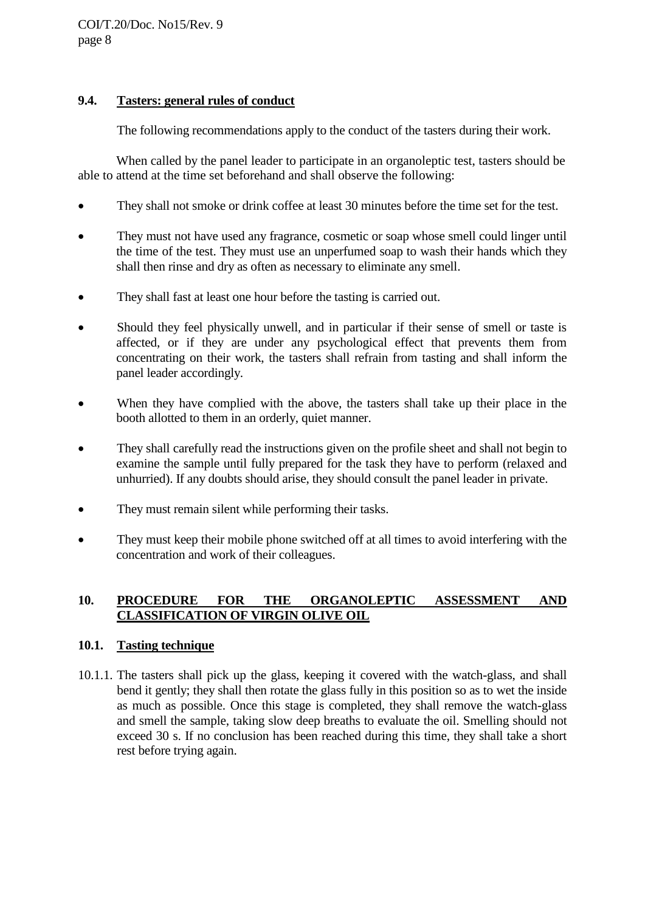## **9.4. Tasters: general rules of conduct**

The following recommendations apply to the conduct of the tasters during their work.

When called by the panel leader to participate in an organoleptic test, tasters should be able to attend at the time set beforehand and shall observe the following:

- They shall not smoke or drink coffee at least 30 minutes before the time set for the test.
- They must not have used any fragrance, cosmetic or soap whose smell could linger until the time of the test. They must use an unperfumed soap to wash their hands which they shall then rinse and dry as often as necessary to eliminate any smell.
- They shall fast at least one hour before the tasting is carried out.
- Should they feel physically unwell, and in particular if their sense of smell or taste is affected, or if they are under any psychological effect that prevents them from concentrating on their work, the tasters shall refrain from tasting and shall inform the panel leader accordingly.
- When they have complied with the above, the tasters shall take up their place in the booth allotted to them in an orderly, quiet manner.
- They shall carefully read the instructions given on the profile sheet and shall not begin to examine the sample until fully prepared for the task they have to perform (relaxed and unhurried). If any doubts should arise, they should consult the panel leader in private.
- They must remain silent while performing their tasks.
- They must keep their mobile phone switched off at all times to avoid interfering with the concentration and work of their colleagues.

## **10. PROCEDURE FOR THE ORGANOLEPTIC ASSESSMENT AND CLASSIFICATION OF VIRGIN OLIVE OIL**

## **10.1. Tasting technique**

10.1.1. The tasters shall pick up the glass, keeping it covered with the watch-glass, and shall bend it gently; they shall then rotate the glass fully in this position so as to wet the inside as much as possible. Once this stage is completed, they shall remove the watch-glass and smell the sample, taking slow deep breaths to evaluate the oil. Smelling should not exceed 30 s. If no conclusion has been reached during this time, they shall take a short rest before trying again.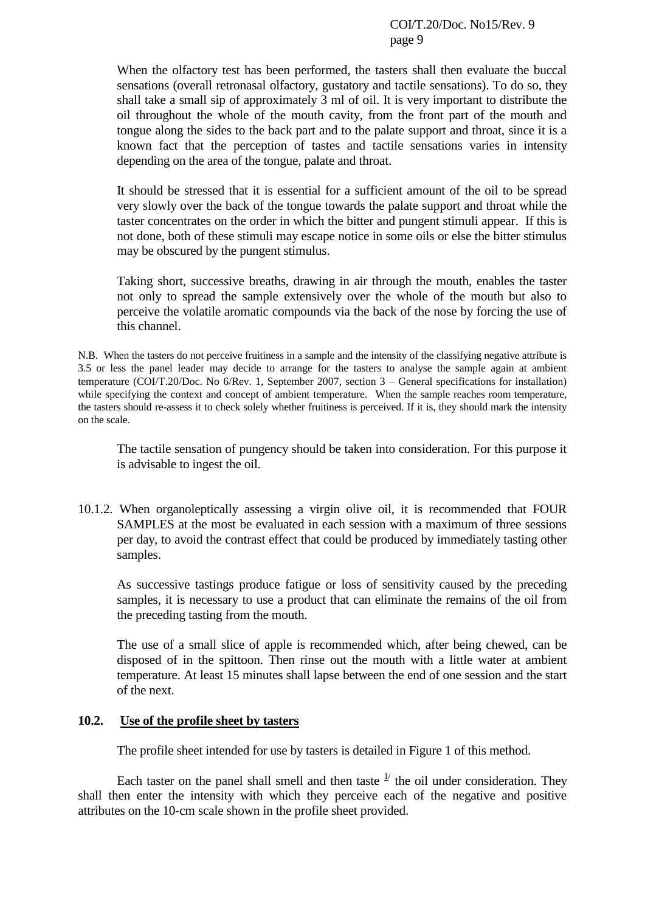When the olfactory test has been performed, the tasters shall then evaluate the buccal sensations (overall retronasal olfactory*,* gustatory and tactile sensation*s*). To do so, they shall take a small sip of approximately 3 ml of oil. It is very important to distribute the oil throughout the whole of the mouth cavity, from the front part of the mouth and tongue along the sides to the back part and to the palate support and throat, since it is a known fact that the perception of tastes and tactile sensations varies in intensity depending on the area of the tongue, palate and throat.

It should be stressed that it is essential for a sufficient amount of the oil to be spread very slowly over the back of the tongue towards the palate support and throat while the taster concentrates on the order in which the bitter and pungent stimuli appear.If this is not done, both of these stimuli may escape notice in some oils or else the bitter stimulus may be obscured by the pungent stimulus.

Taking short, successive breaths, drawing in air through the mouth, enables the taster not only to spread the sample extensively over the whole of the mouth but also to perceive the volatile aromatic compounds via the back of the nose by forcing the use of this channel.

N.B. When the tasters do not perceive fruitiness in a sample and the intensity of the classifying negative attribute is 3.5 or less the panel leader may decide to arrange for the tasters to analyse the sample again at ambient temperature (COI/T.20/Doc. No 6/Rev. 1, September 2007, section 3 – General specifications for installation) while specifying the context and concept of ambient temperature. When the sample reaches room temperature, the tasters should re-assess it to check solely whether fruitiness is perceived. If it is, they should mark the intensity on the scale.

The tactile sensation of pungency should be taken into consideration. For this purpose it is advisable to ingest the oil.

10.1.2. When organoleptically assessing a virgin olive oil, it is recommended that FOUR SAMPLES at the most be evaluated in each session with a maximum of three sessions per day, to avoid the contrast effect that could be produced by immediately tasting other samples.

As successive tastings produce fatigue or loss of sensitivity caused by the preceding samples, it is necessary to use a product that can eliminate the remains of the oil from the preceding tasting from the mouth.

The use of a small slice of apple is recommended which, after being chewed, can be disposed of in the spittoon. Then rinse out the mouth with a little water at ambient temperature. At least 15 minutes shall lapse between the end of one session and the start of the next.

## **10.2. Use of the profile sheet by tasters**

The profile sheet intended for use by tasters is detailed in Figure 1 of this method.

Each taster on the panel shall smell and then taste  $\frac{1}{1}$  the oil under consideration. They shall then enter the intensity with which they perceive each of the negative and positive attributes on the 10-cm scale shown in the profile sheet provided.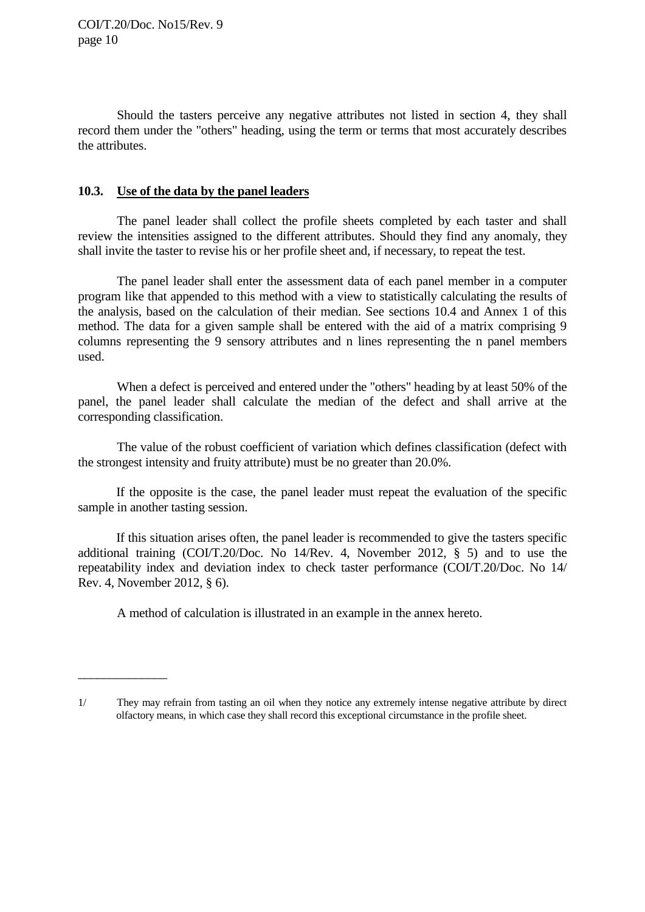$\overline{\phantom{a}}$ 

Should the tasters perceive any negative attributes not listed in section 4, they shall record them under the "others" heading, using the term or terms that most accurately describes the attributes.

## **10.3. Use of the data by the panel leaders**

The panel leader shall collect the profile sheets completed by each taster and shall review the intensities assigned to the different attributes. Should they find any anomaly, they shall invite the taster to revise his or her profile sheet and, if necessary, to repeat the test.

The panel leader shall enter the assessment data of each panel member in a computer program like that appended to this method with a view to statistically calculating the results of the analysis, based on the calculation of their median. See sections 10.4 and Annex 1 of this method. The data for a given sample shall be entered with the aid of a matrix comprising 9 columns representing the 9 sensory attributes and n lines representing the n panel members used.

When a defect is perceived and entered under the "others" heading by at least 50% of the panel, the panel leader shall calculate the median of the defect and shall arrive at the corresponding classification.

The value of the robust coefficient of variation which defines classification (defect with the strongest intensity and fruity attribute) must be no greater than 20.0%.

If the opposite is the case, the panel leader must repeat the evaluation of the specific sample in another tasting session.

If this situation arises often, the panel leader is recommended to give the tasters specific additional training (COI/T.20/Doc. No 14/Rev. 4, November 2012, § 5) and to use the repeatability index and deviation index to check taster performance (COI/T.20/Doc. No 14/ Rev. 4, November 2012, § 6).

A method of calculation is illustrated in an example in the annex hereto.

<sup>1/</sup> They may refrain from tasting an oil when they notice any extremely intense negative attribute by direct olfactory means, in which case they shall record this exceptional circumstance in the profile sheet.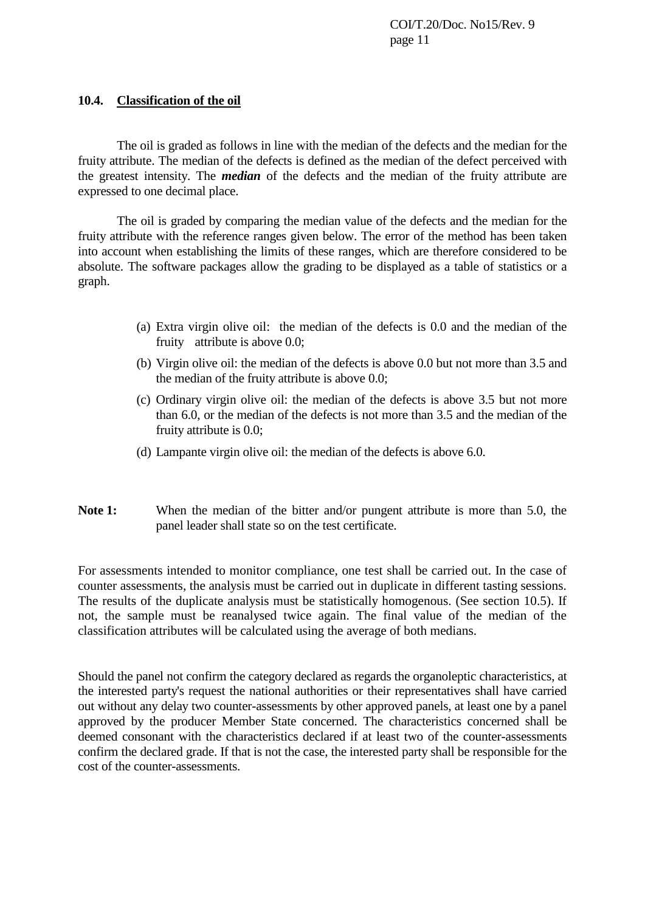### **10.4. Classification of the oil**

The oil is graded as follows in line with the median of the defects and the median for the fruity attribute. The median of the defects is defined as the median of the defect perceived with the greatest intensity. The *median* of the defects and the median of the fruity attribute are expressed to one decimal place.

The oil is graded by comparing the median value of the defects and the median for the fruity attribute with the reference ranges given below. The error of the method has been taken into account when establishing the limits of these ranges, which are therefore considered to be absolute. The software packages allow the grading to be displayed as a table of statistics or a graph.

- (a) Extra virgin olive oil: the median of the defects is 0.0 and the median of the fruity attribute is above 0.0;
- (b) Virgin olive oil: the median of the defects is above 0.0 but not more than 3.5 and the median of the fruity attribute is above 0.0;
- (c) Ordinary virgin olive oil: the median of the defects is above 3.5 but not more than 6.0, or the median of the defects is not more than 3.5 and the median of the fruity attribute is 0.0;
- (d) Lampante virgin olive oil: the median of the defects is above 6.0.
- Note 1: When the median of the bitter and/or pungent attribute is more than 5.0, the panel leader shall state so on the test certificate.

For assessments intended to monitor compliance, one test shall be carried out. In the case of counter assessments, the analysis must be carried out in duplicate in different tasting sessions. The results of the duplicate analysis must be statistically homogenous. (See section 10.5). If not, the sample must be reanalysed twice again. The final value of the median of the classification attributes will be calculated using the average of both medians.

Should the panel not confirm the category declared as regards the organoleptic characteristics, at the interested party's request the national authorities or their representatives shall have carried out without any delay two counter-assessments by other approved panels, at least one by a panel approved by the producer Member State concerned. The characteristics concerned shall be deemed consonant with the characteristics declared if at least two of the counter-assessments confirm the declared grade. If that is not the case, the interested party shall be responsible for the cost of the counter-assessments.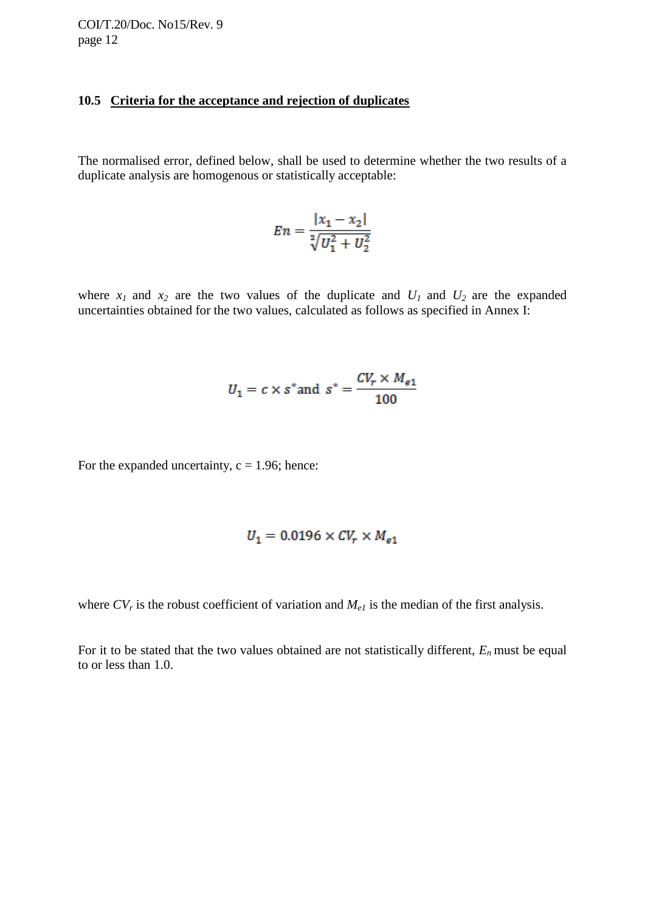#### **10.5 Criteria for the acceptance and rejection of duplicates**

The normalised error, defined below, shall be used to determine whether the two results of a duplicate analysis are homogenous or statistically acceptable:

$$
En = \frac{|x_1 - x_2|}{\sqrt[2]{U_1^2 + U_2^2}}
$$

where  $x_1$  and  $x_2$  are the two values of the duplicate and  $U_1$  and  $U_2$  are the expanded uncertainties obtained for the two values, calculated as follows as specified in Annex I:

$$
U_1 = c \times s^* \text{ and } s^* = \frac{CV_r \times M_{e1}}{100}
$$

For the expanded uncertainty,  $c = 1.96$ ; hence:

$$
U_1 = 0.0196 \times CV_r \times M_{e1}
$$

where  $CV_r$  is the robust coefficient of variation and  $M_{el}$  is the median of the first analysis.

For it to be stated that the two values obtained are not statistically different,  $E_n$  must be equal to or less than 1.0.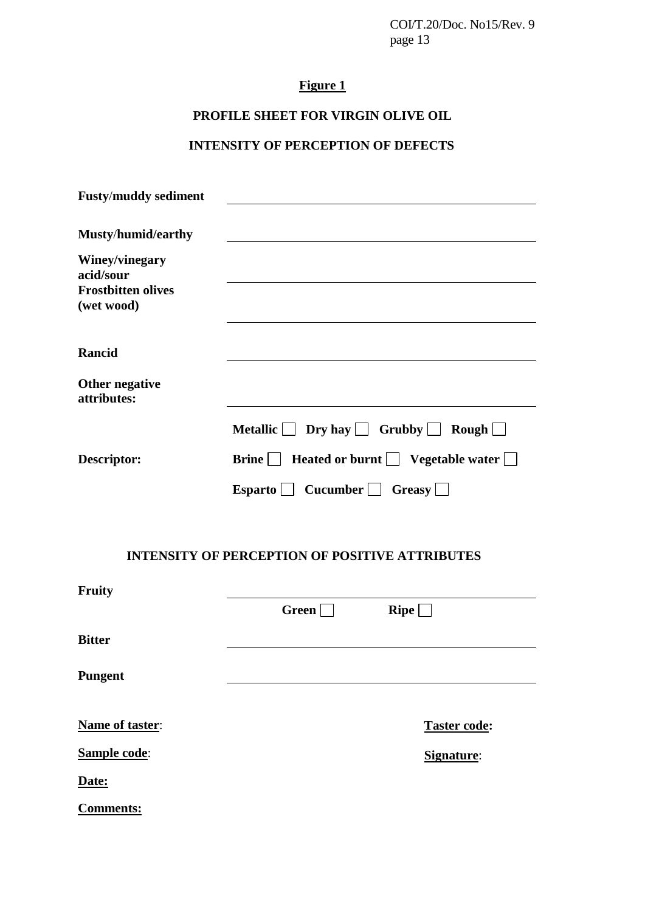# **Figure 1**

# **PROFILE SHEET FOR VIRGIN OLIVE OIL**

# **INTENSITY OF PERCEPTION OF DEFECTS**

| <b>Fusty/muddy sediment</b>                                            |                                                            |
|------------------------------------------------------------------------|------------------------------------------------------------|
| Musty/humid/earthy                                                     |                                                            |
| Winey/vinegary<br>acid/sour<br><b>Frostbitten olives</b><br>(wet wood) |                                                            |
| Rancid                                                                 |                                                            |
| Other negative<br>attributes:                                          |                                                            |
|                                                                        | Metallic $\Box$ Dry hay $\Box$ Grubby $\Box$ Rough $\Box$  |
| Descriptor:                                                            | Brine $\Box$ Heated or burnt $\Box$ Vegetable water $\Box$ |
|                                                                        | Esparto Cucumber Greasy                                    |
|                                                                        | <b>INTENSITY OF PERCEPTION OF POSITIVE ATTRIBUTES</b>      |
| Fruity                                                                 |                                                            |
|                                                                        | Green<br>$\mathbf{R}$ ipe $\mathbf{L}$                     |
| <b>Bitter</b>                                                          |                                                            |
| Pungent                                                                |                                                            |
| Name of taster:                                                        | <b>Taster code:</b>                                        |
| <b>Sample code:</b>                                                    | Signature:                                                 |
| Date:                                                                  |                                                            |
| <b>Comments:</b>                                                       |                                                            |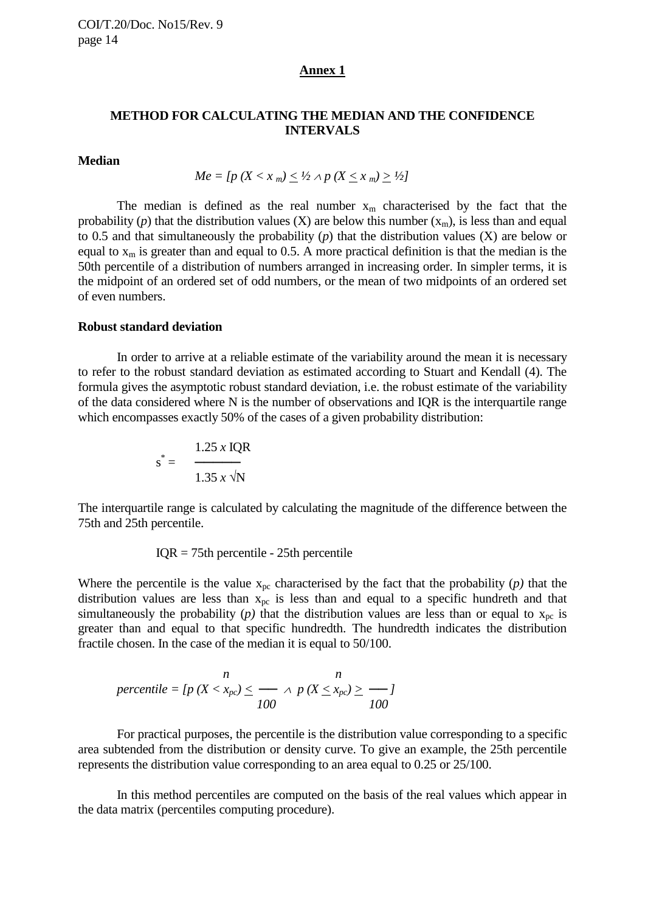#### **Annex 1**

### **METHOD FOR CALCULATING THE MEDIAN AND THE CONFIDENCE INTERVALS**

### **Median**

$$
Me = [p (X < x_m) \leq \frac{1}{2} \land p (X \leq x_m) \geq \frac{1}{2}]
$$

The median is defined as the real number  $x_m$  characterised by the fact that the probability (*p*) that the distribution values (X) are below this number  $(x_m)$ , is less than and equal to 0.5 and that simultaneously the probability (*p*) that the distribution values (X) are below or equal to  $x_m$  is greater than and equal to 0.5. A more practical definition is that the median is the 50th percentile of a distribution of numbers arranged in increasing order. In simpler terms, it is the midpoint of an ordered set of odd numbers, or the mean of two midpoints of an ordered set of even numbers.

#### **Robust standard deviation**

In order to arrive at a reliable estimate of the variability around the mean it is necessary to refer to the robust standard deviation as estimated according to Stuart and Kendall (4). The formula gives the asymptotic robust standard deviation, i.e. the robust estimate of the variability of the data considered where N is the number of observations and IQR is the interquartile range which encompasses exactly 50% of the cases of a given probability distribution:

$$
s^* = \frac{1.25 \times IQR}{1.35 \times \sqrt{N}}
$$

The interquartile range is calculated by calculating the magnitude of the difference between the 75th and 25th percentile.

 $IOR = 75th$  percentile - 25th percentile

Where the percentile is the value  $x_{pc}$  characterised by the fact that the probability  $(p)$  that the distribution values are less than  $x_{pc}$  is less than and equal to a specific hundreth and that simultaneously the probability (*p*) that the distribution values are less than or equal to  $x_{pc}$  is greater than and equal to that specific hundredth. The hundredth indicates the distribution fractile chosen. In the case of the median it is equal to 50/100.

$$
percentile = [p (X < x_{pc}) \leq \frac{n}{100} \land p (X \leq x_{pc}) \geq \frac{n}{100}
$$

For practical purposes, the percentile is the distribution value corresponding to a specific area subtended from the distribution or density curve. To give an example, the 25th percentile represents the distribution value corresponding to an area equal to 0.25 or 25/100.

In this method percentiles are computed on the basis of the real values which appear in the data matrix (percentiles computing procedure).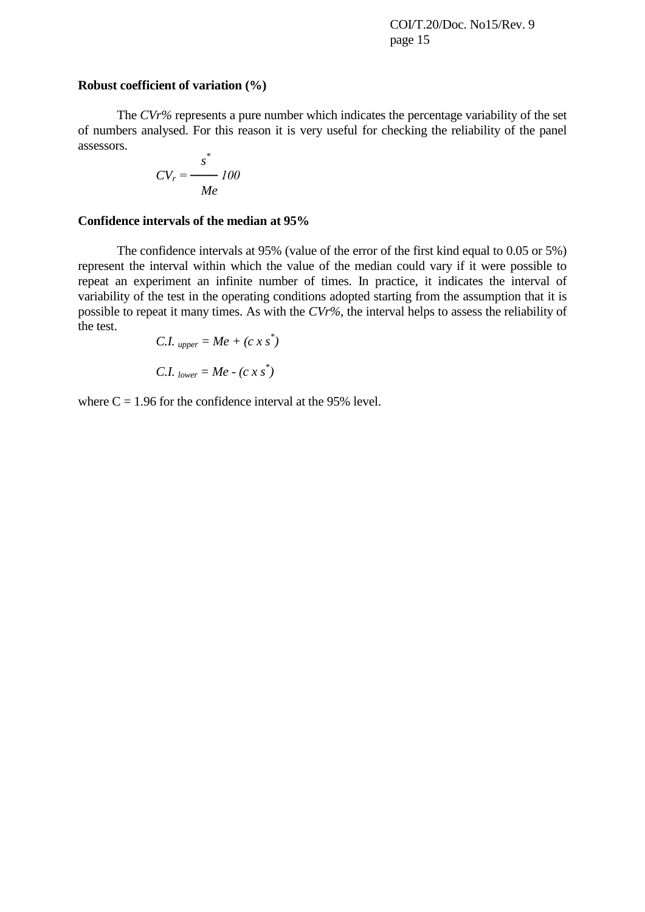#### **Robust coefficient of variation (%)**

The *CVr%* represents a pure number which indicates the percentage variability of the set of numbers analysed. For this reason it is very useful for checking the reliability of the panel assessors.

$$
CV_r = \frac{s^*}{Me} 100
$$

## **Confidence intervals of the median at 95%**

The confidence intervals at 95% (value of the error of the first kind equal to 0.05 or 5%) represent the interval within which the value of the median could vary if it were possible to repeat an experiment an infinite number of times. In practice, it indicates the interval of variability of the test in the operating conditions adopted starting from the assumption that it is possible to repeat it many times. As with the *CVr%*, the interval helps to assess the reliability of the test.

C.I. 
$$
upper = Me + (c x s^*)
$$
  
C.I.  $lower = Me - (c x s^*)$ 

where  $C = 1.96$  for the confidence interval at the 95% level.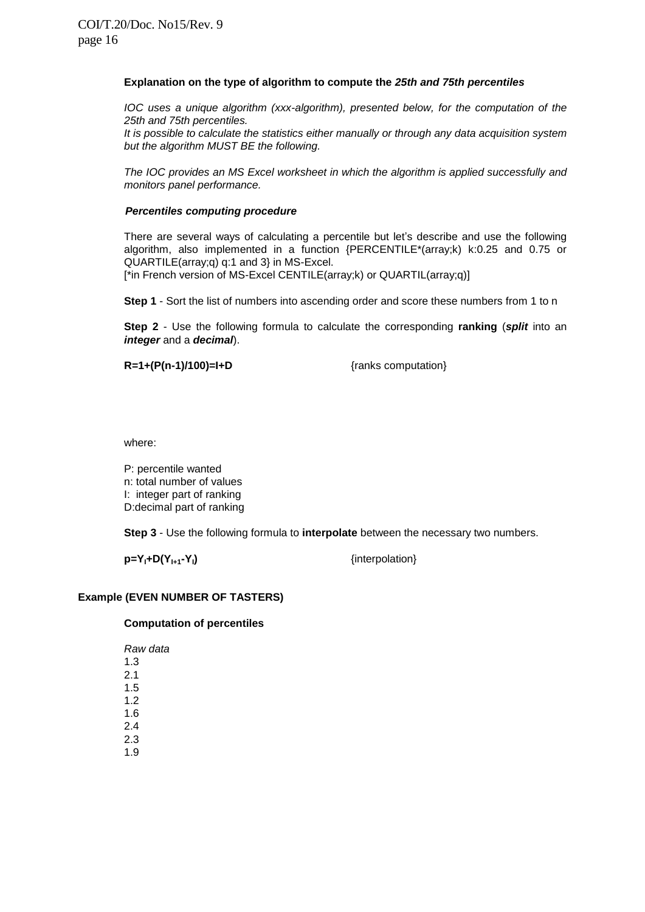#### **Explanation on the type of algorithm to compute the** *25th and 75th percentiles*

*IOC uses a unique algorithm (xxx-algorithm), presented below, for the computation of the 25th and 75th percentiles.* 

*It is possible to calculate the statistics either manually or through any data acquisition system but the algorithm MUST BE the following.*

*The IOC provides an MS Excel worksheet in which the algorithm is applied successfully and monitors panel performance.*

#### *Percentiles computing procedure*

There are several ways of calculating a percentile but let's describe and use the following algorithm, also implemented in a function {PERCENTILE\*(array;k) k:0.25 and 0.75 or QUARTILE(array;q) q:1 and 3} in MS-Excel.

[\*in French version of MS-Excel CENTILE(array;k) or QUARTIL(array;q)]

**Step 1** - Sort the list of numbers into ascending order and score these numbers from 1 to n

**Step 2** - Use the following formula to calculate the corresponding **ranking** (*split* into an *integer* and a *decimal*).

**R=1+(P(n-1)/100)=I+D** {ranks computation}

where:

P: percentile wanted n: total number of values I: integer part of ranking D:decimal part of ranking

**Step 3** - Use the following formula to **interpolate** between the necessary two numbers.

 $p = Y_1 + D(Y_{1+1} - Y_1)$  {interpolation}

#### **Example (EVEN NUMBER OF TASTERS)**

#### **Computation of percentiles**

*Raw data* 1.3 2.1 1.5 1.2 1.6 2.4 2.3 1.9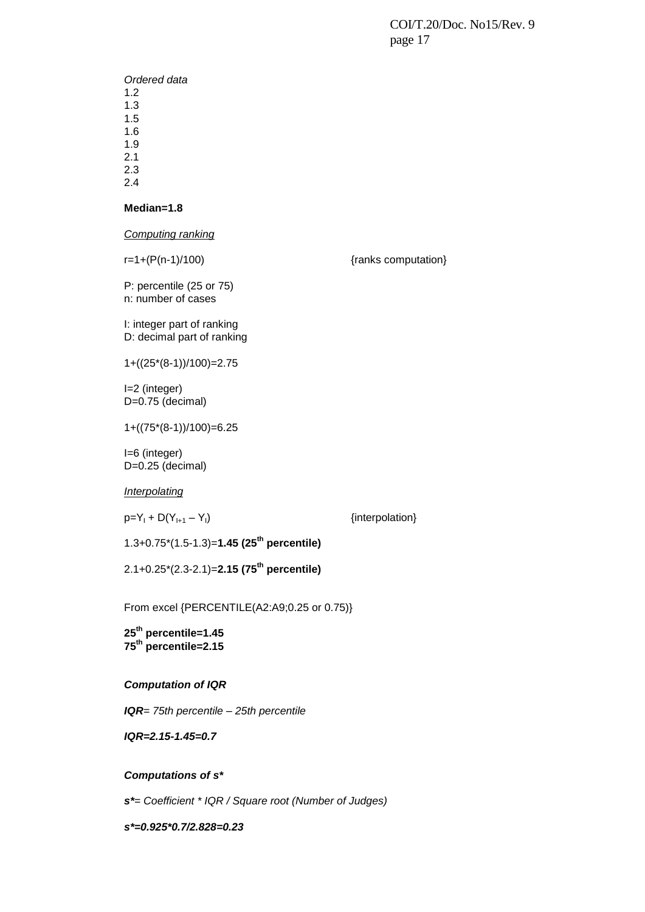*Ordered data* 1.2 1.3 1.5 1.6 1.9

2.1 2.3

2.4

#### **Median=1.8**

*Computing ranking*

 $r=1+(P(n-1)/100)$  {ranks computation}

P: percentile (25 or 75) n: number of cases

I: integer part of ranking D: decimal part of ranking

1+((25\*(8-1))/100)=2.75

I=2 (integer) D=0.75 (decimal)

1+((75\*(8-1))/100)=6.25

I=6 (integer) D=0.25 (decimal)

*Interpolating*

 $p=Y_1 + D(Y_{1+1} - Y_1)$  {interpolation}

1.3+0.75\*(1.5-1.3)=**1.45 (25th percentile)**

2.1+0.25\*(2.3-2.1)=**2.15 (75th percentile)**

From excel {PERCENTILE(A2:A9;0.25 or 0.75)}

**25th percentile=1.45 75th percentile=2.15**

#### *Computation of IQR*

*IQR= 75th percentile – 25th percentile*

*IQR=2.15-1.45=0.7*

#### *Computations of s\**

*s\*= Coefficient \* IQR / Square root (Number of Judges)*

*s\*=0.925\*0.7/2.828=0.23*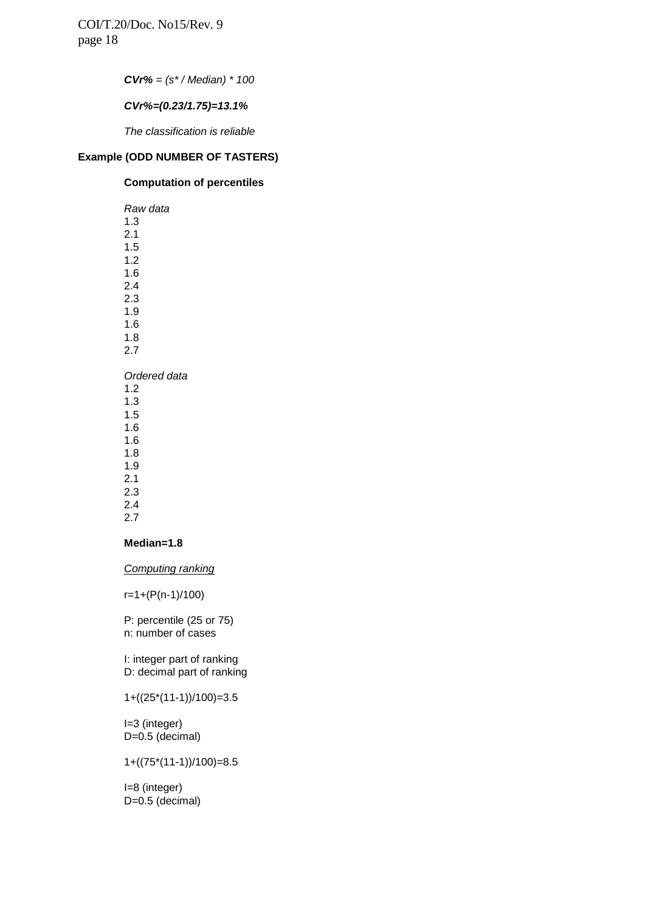*CVr% = (s\* / Median) \* 100*

#### *CVr%=(0.23/1.75)=13.1%*

*The classification is reliable* 

## **Example (ODD NUMBER OF TASTERS)**

#### **Computation of percentiles**

*Raw data* 1.3 2.1 1.5 1.2 1.6 2.4 2.3 1.9 1.6 1.8 2.7 *Ordered data* 1.2 1.3 1.5 1.6 1.6 1.8 1.9 2.1 2.3

## 2.4

## 2.7

#### **Median=1.8**

*Computing ranking*

r=1+(P(n-1)/100)

P: percentile (25 or 75) n: number of cases

I: integer part of ranking D: decimal part of ranking

### 1+((25\*(11-1))/100)=3.5

I=3 (integer) D=0.5 (decimal)

#### 1+((75\*(11-1))/100)=8.5

I=8 (integer) D=0.5 (decimal)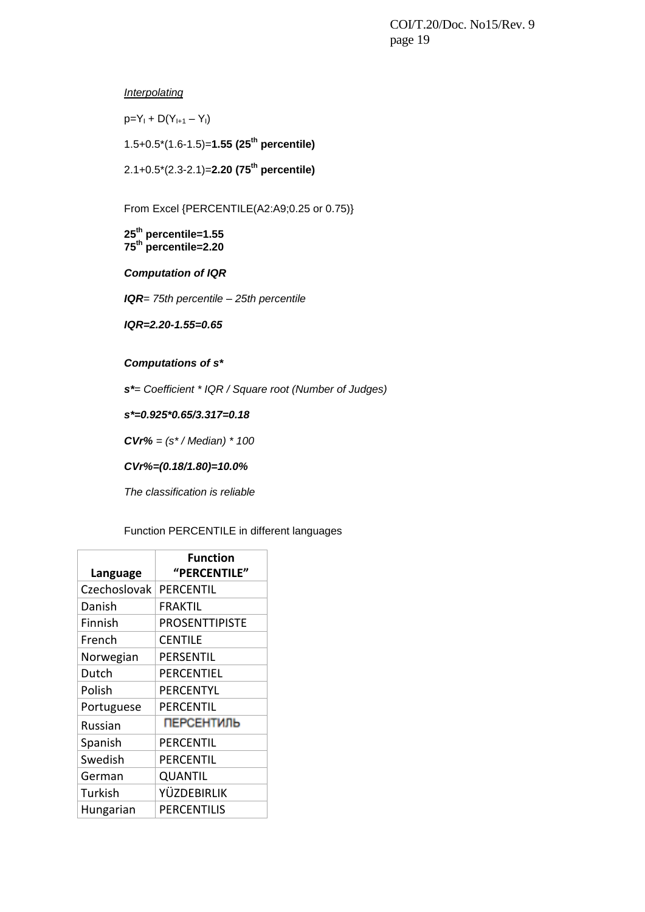*Interpolating*

 $p=Y_1 + D(Y_{1+1} - Y_1)$ 

1.5+0.5\*(1.6-1.5)=**1.55 (25th percentile)**

2.1+0.5\*(2.3-2.1)=**2.20 (75th percentile)**

From Excel {PERCENTILE(A2:A9;0.25 or 0.75)}

**25th percentile=1.55 75 th percentile=2.20**

*Computation of IQR*

*IQR= 75th percentile – 25th percentile*

*IQR=2.20-1.55=0.65*

*Computations of s\**

*s\*= Coefficient \* IQR / Square root (Number of Judges)*

*s\*=0.925\*0.65/3.317=0.18*

*CVr% = (s\* / Median) \* 100*

*CVr%=(0.18/1.80)=10.0%*

*The classification is reliable*

Function PERCENTILE in different languages

| Language     | Function<br>"PERCENTILE" |
|--------------|--------------------------|
| Czechoslovak | PERCENTIL                |
| Danish       | FRAKTIL                  |
| Finnish      | <b>PROSENTTIPISTE</b>    |
| French       | <b>CENTILE</b>           |
| Norwegian    | PERSENTIL                |
| Dutch        | PERCENTIEL               |
| Polish       | PERCENTYL                |
| Portuguese   | PERCENTIL                |
| Russian      | <b>ПЕРСЕНТИЛЬ</b>        |
| Spanish      | PERCENTIL                |
| Swedish      | PERCENTIL                |
| German       | QUANTIL                  |
| Turkish      | YÜZDEBIRLIK              |
| Hungarian    | PERCENTILIS              |